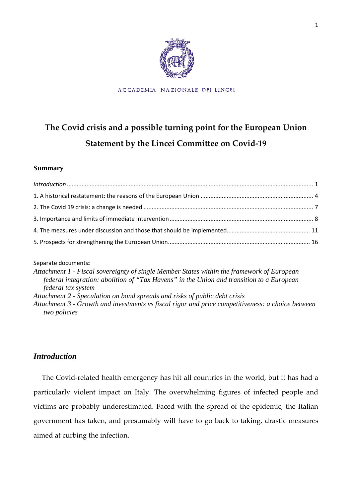

ACCADEMIA NAZIONALE DEI LINCEI

# **The Covid crisis and a possible turning point for the European Union Statement by the Lincei Committee on Covid-19**

#### **Summary**

Separate documents**:**

| Attachment 1 - Fiscal sovereignty of single Member States within the framework of European |  |  |  |  |
|--------------------------------------------------------------------------------------------|--|--|--|--|
| federal integration: abolition of "Tax Havens" in the Union and transition to a European   |  |  |  |  |
| federal tax system                                                                         |  |  |  |  |
|                                                                                            |  |  |  |  |

*Attachment 2 - Speculation on bond spreads and risks of public debt crisis*

*Attachment 3 - Growth and investments vs fiscal rigor and price competitiveness: a choice between two policies*

## <span id="page-0-0"></span>*Introduction*

The Covid-related health emergency has hit all countries in the world, but it has had a particularly violent impact on Italy. The overwhelming figures of infected people and victims are probably underestimated. Faced with the spread of the epidemic, the Italian government has taken, and presumably will have to go back to taking, drastic measures aimed at curbing the infection.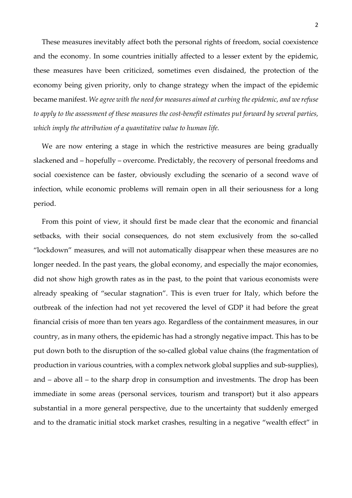These measures inevitably affect both the personal rights of freedom, social coexistence and the economy. In some countries initially affected to a lesser extent by the epidemic, these measures have been criticized, sometimes even disdained, the protection of the economy being given priority, only to change strategy when the impact of the epidemic became manifest. *We agree with the need for measures aimed at curbing the epidemic, and we refuse to apply to the assessment of these measures the cost-benefit estimates put forward by several parties, which imply the attribution of a quantitative value to human life.*

We are now entering a stage in which the restrictive measures are being gradually slackened and – hopefully – overcome. Predictably, the recovery of personal freedoms and social coexistence can be faster, obviously excluding the scenario of a second wave of infection, while economic problems will remain open in all their seriousness for a long period.

From this point of view, it should first be made clear that the economic and financial setbacks, with their social consequences, do not stem exclusively from the so-called "lockdown" measures, and will not automatically disappear when these measures are no longer needed. In the past years, the global economy, and especially the major economies, did not show high growth rates as in the past, to the point that various economists were already speaking of "secular stagnation". This is even truer for Italy, which before the outbreak of the infection had not yet recovered the level of GDP it had before the great financial crisis of more than ten years ago. Regardless of the containment measures, in our country, as in many others, the epidemic has had a strongly negative impact. This has to be put down both to the disruption of the so-called global value chains (the fragmentation of production in various countries, with a complex network global supplies and sub-supplies), and – above all – to the sharp drop in consumption and investments. The drop has been immediate in some areas (personal services, tourism and transport) but it also appears substantial in a more general perspective, due to the uncertainty that suddenly emerged and to the dramatic initial stock market crashes, resulting in a negative "wealth effect" in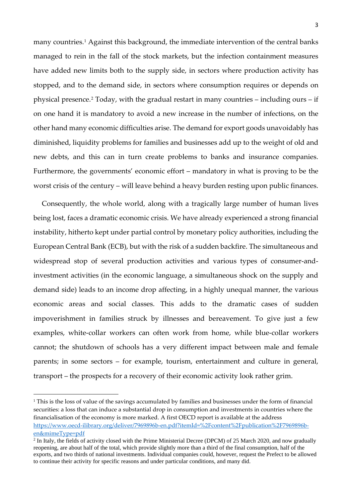many countries. [1](#page-2-0) Against this background, the immediate intervention of the central banks managed to rein in the fall of the stock markets, but the infection containment measures have added new limits both to the supply side, in sectors where production activity has stopped, and to the demand side, in sectors where consumption requires or depends on physical presence.[2](#page-2-1) Today, with the gradual restart in many countries – including ours – if on one hand it is mandatory to avoid a new increase in the number of infections, on the other hand many economic difficulties arise. The demand for export goods unavoidably has diminished, liquidity problems for families and businesses add up to the weight of old and new debts, and this can in turn create problems to banks and insurance companies. Furthermore, the governments' economic effort – mandatory in what is proving to be the worst crisis of the century – will leave behind a heavy burden resting upon public finances.

Consequently, the whole world, along with a tragically large number of human lives being lost, faces a dramatic economic crisis. We have already experienced a strong financial instability, hitherto kept under partial control by monetary policy authorities, including the European Central Bank (ECB), but with the risk of a sudden backfire. The simultaneous and widespread stop of several production activities and various types of consumer-andinvestment activities (in the economic language, a simultaneous shock on the supply and demand side) leads to an income drop affecting, in a highly unequal manner, the various economic areas and social classes. This adds to the dramatic cases of sudden impoverishment in families struck by illnesses and bereavement. To give just a few examples, white-collar workers can often work from home, while blue-collar workers cannot; the shutdown of schools has a very different impact between male and female parents; in some sectors – for example, tourism, entertainment and culture in general, transport – the prospects for a recovery of their economic activity look rather grim.

<span id="page-2-0"></span><sup>1</sup> This is the loss of value of the savings accumulated by families and businesses under the form of financial securities: a loss that can induce a substantial drop in consumption and investments in countries where the financialisation of the economy is more marked. A first OECD report is available at the address [https://www.oecd-ilibrary.org/deliver/7969896b-en.pdf?itemId=%2Fcontent%2Fpublication%2F7969896b](https://www.oecd-ilibrary.org/deliver/7969896b-en.pdf?itemId=%2Fcontent%2Fpublication%2F7969896b-en&mimeType=pdf)[en&mimeType=pdf](https://www.oecd-ilibrary.org/deliver/7969896b-en.pdf?itemId=%2Fcontent%2Fpublication%2F7969896b-en&mimeType=pdf)

<span id="page-2-1"></span><sup>&</sup>lt;sup>2</sup> In Italy, the fields of activity closed with the Prime Ministerial Decree (DPCM) of 25 March 2020, and now gradually reopening, are about half of the total, which provide slightly more than a third of the final consumption, half of the exports, and two thirds of national investments. Individual companies could, however, request the Prefect to be allowed to continue their activity for specific reasons and under particular conditions, and many did.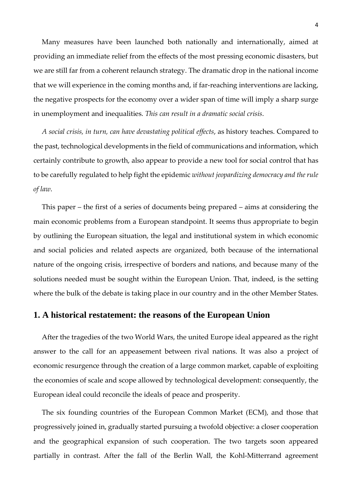Many measures have been launched both nationally and internationally, aimed at providing an immediate relief from the effects of the most pressing economic disasters, but we are still far from a coherent relaunch strategy. The dramatic drop in the national income that we will experience in the coming months and, if far-reaching interventions are lacking, the negative prospects for the economy over a wider span of time will imply a sharp surge in unemployment and inequalities. *This can result in a dramatic social crisis*.

*A social crisis, in turn, can have devastating political effects*, as history teaches. Compared to the past, technological developments in the field of communications and information, which certainly contribute to growth, also appear to provide a new tool for social control that has to be carefully regulated to help fight the epidemic *without jeopardizing democracy and the rule of law*.

This paper – the first of a series of documents being prepared – aims at considering the main economic problems from a European standpoint. It seems thus appropriate to begin by outlining the European situation, the legal and institutional system in which economic and social policies and related aspects are organized, both because of the international nature of the ongoing crisis, irrespective of borders and nations, and because many of the solutions needed must be sought within the European Union. That, indeed, is the setting where the bulk of the debate is taking place in our country and in the other Member States.

#### <span id="page-3-0"></span>**1. A historical restatement: the reasons of the European Union**

After the tragedies of the two World Wars, the united Europe ideal appeared as the right answer to the call for an appeasement between rival nations. It was also a project of economic resurgence through the creation of a large common market, capable of exploiting the economies of scale and scope allowed by technological development: consequently, the European ideal could reconcile the ideals of peace and prosperity.

The six founding countries of the European Common Market (ECM), and those that progressively joined in, gradually started pursuing a twofold objective: a closer cooperation and the geographical expansion of such cooperation. The two targets soon appeared partially in contrast. After the fall of the Berlin Wall, the Kohl-Mitterrand agreement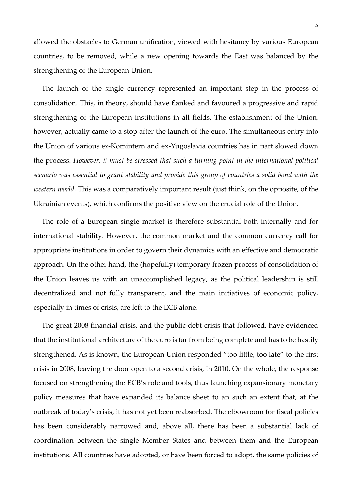allowed the obstacles to German unification, viewed with hesitancy by various European countries, to be removed, while a new opening towards the East was balanced by the strengthening of the European Union.

The launch of the single currency represented an important step in the process of consolidation. This, in theory, should have flanked and favoured a progressive and rapid strengthening of the European institutions in all fields. The establishment of the Union, however, actually came to a stop after the launch of the euro. The simultaneous entry into the Union of various ex-Komintern and ex-Yugoslavia countries has in part slowed down the process. *However, it must be stressed that such a turning point in the international political scenario was essential to grant stability and provide this group of countries a solid bond with the western world*. This was a comparatively important result (just think, on the opposite, of the Ukrainian events), which confirms the positive view on the crucial role of the Union.

The role of a European single market is therefore substantial both internally and for international stability. However, the common market and the common currency call for appropriate institutions in order to govern their dynamics with an effective and democratic approach. On the other hand, the (hopefully) temporary frozen process of consolidation of the Union leaves us with an unaccomplished legacy, as the political leadership is still decentralized and not fully transparent, and the main initiatives of economic policy, especially in times of crisis, are left to the ECB alone.

The great 2008 financial crisis, and the public-debt crisis that followed, have evidenced that the institutional architecture of the euro is far from being complete and has to be hastily strengthened. As is known, the European Union responded "too little, too late" to the first crisis in 2008, leaving the door open to a second crisis, in 2010. On the whole, the response focused on strengthening the ECB's role and tools, thus launching expansionary monetary policy measures that have expanded its balance sheet to an such an extent that, at the outbreak of today's crisis, it has not yet been reabsorbed. The elbowroom for fiscal policies has been considerably narrowed and, above all, there has been a substantial lack of coordination between the single Member States and between them and the European institutions. All countries have adopted, or have been forced to adopt, the same policies of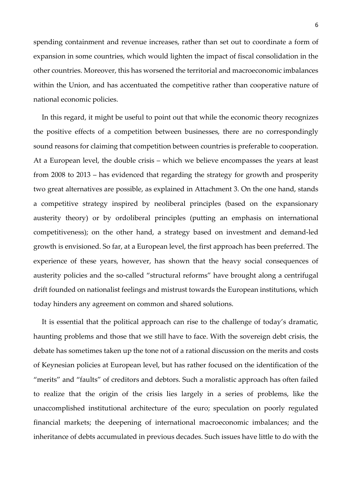spending containment and revenue increases, rather than set out to coordinate a form of expansion in some countries, which would lighten the impact of fiscal consolidation in the other countries. Moreover, this has worsened the territorial and macroeconomic imbalances within the Union, and has accentuated the competitive rather than cooperative nature of national economic policies.

In this regard, it might be useful to point out that while the economic theory recognizes the positive effects of a competition between businesses, there are no correspondingly sound reasons for claiming that competition between countries is preferable to cooperation. At a European level, the double crisis – which we believe encompasses the years at least from 2008 to 2013 – has evidenced that regarding the strategy for growth and prosperity two great alternatives are possible, as explained in Attachment 3. On the one hand, stands a competitive strategy inspired by neoliberal principles (based on the expansionary austerity theory) or by ordoliberal principles (putting an emphasis on international competitiveness); on the other hand, a strategy based on investment and demand-led growth is envisioned. So far, at a European level, the first approach has been preferred. The experience of these years, however, has shown that the heavy social consequences of austerity policies and the so-called "structural reforms" have brought along a centrifugal drift founded on nationalist feelings and mistrust towards the European institutions, which today hinders any agreement on common and shared solutions.

It is essential that the political approach can rise to the challenge of today's dramatic, haunting problems and those that we still have to face. With the sovereign debt crisis, the debate has sometimes taken up the tone not of a rational discussion on the merits and costs of Keynesian policies at European level, but has rather focused on the identification of the "merits" and "faults" of creditors and debtors. Such a moralistic approach has often failed to realize that the origin of the crisis lies largely in a series of problems, like the unaccomplished institutional architecture of the euro; speculation on poorly regulated financial markets; the deepening of international macroeconomic imbalances; and the inheritance of debts accumulated in previous decades. Such issues have little to do with the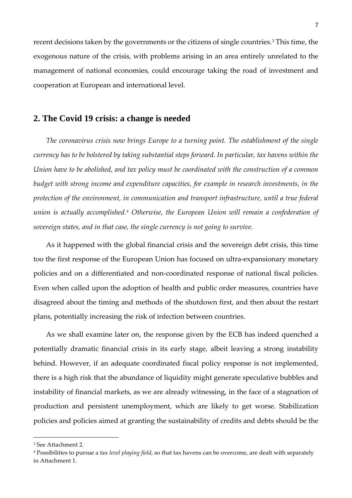recent decisions taken by the governments or the citizens of single countries. [3](#page-6-1) This time, the exogenous nature of the crisis, with problems arising in an area entirely unrelated to the management of national economies, could encourage taking the road of investment and cooperation at European and international level.

#### <span id="page-6-0"></span>**2. The Covid 19 crisis: a change is needed**

*The coronavirus crisis now brings Europe to a turning point. The establishment of the single currency has to be bolstered by taking substantial steps forward. In particular, tax havens within the Union have to be abolished, and tax policy must be coordinated with the construction of a common budget with strong income and expenditure capacities, for example in research investments, in the protection of the environment, in communication and transport infrastructure, until a true federal union is actually accomplished. [4](#page-6-2) Otherwise, the European Union will remain a confederation of sovereign states, and in that case, the single currency is not going to survive.*

As it happened with the global financial crisis and the sovereign debt crisis, this time too the first response of the European Union has focused on ultra-expansionary monetary policies and on a differentiated and non-coordinated response of national fiscal policies. Even when called upon the adoption of health and public order measures, countries have disagreed about the timing and methods of the shutdown first, and then about the restart plans, potentially increasing the risk of infection between countries.

As we shall examine later on, the response given by the ECB has indeed quenched a potentially dramatic financial crisis in its early stage, albeit leaving a strong instability behind. However, if an adequate coordinated fiscal policy response is not implemented, there is a high risk that the abundance of liquidity might generate speculative bubbles and instability of financial markets, as we are already witnessing, in the face of a stagnation of production and persistent unemployment, which are likely to get worse. Stabilization policies and policies aimed at granting the sustainability of credits and debts should be the

<span id="page-6-1"></span><sup>3</sup> See Attachment 2.

<span id="page-6-2"></span><sup>4</sup> Possibilities to pursue a tax *level playing field*, so that tax havens can be overcome, are dealt with separately in Attachment 1.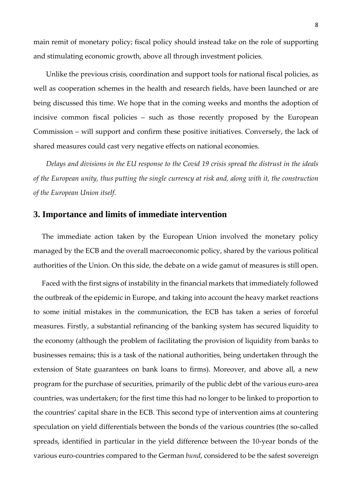main remit of monetary policy; fiscal policy should instead take on the role of supporting and stimulating economic growth, above all through investment policies.

Unlike the previous crisis, coordination and support tools for national fiscal policies, as well as cooperation schemes in the health and research fields, have been launched or are being discussed this time. We hope that in the coming weeks and months the adoption of incisive common fiscal policies – such as those recently proposed by the European Commission – will support and confirm these positive initiatives. Conversely, the lack of shared measures could cast very negative effects on national economies.

*Delays and divisions in the EU response to the Covid 19 crisis spread the distrust in the ideals of the European unity, thus putting the single currency at risk and, along with it, the construction of the European Union itself*.

#### <span id="page-7-0"></span>**3. Importance and limits of immediate intervention**

The immediate action taken by the European Union involved the monetary policy managed by the ECB and the overall macroeconomic policy, shared by the various political authorities of the Union. On this side, the debate on a wide gamut of measures is still open.

Faced with the first signs of instability in the financial markets that immediately followed the outbreak of the epidemic in Europe, and taking into account the heavy market reactions to some initial mistakes in the communication, the ECB has taken a series of forceful measures. Firstly, a substantial refinancing of the banking system has secured liquidity to the economy (although the problem of facilitating the provision of liquidity from banks to businesses remains; this is a task of the national authorities, being undertaken through the extension of State guarantees on bank loans to firms). Moreover, and above all, a new program for the purchase of securities, primarily of the public debt of the various euro-area countries, was undertaken; for the first time this had no longer to be linked to proportion to the countries' capital share in the ECB. This second type of intervention aims at countering speculation on yield differentials between the bonds of the various countries (the so-called spreads, identified in particular in the yield difference between the 10-year bonds of the various euro-countries compared to the German *bund*, considered to be the safest sovereign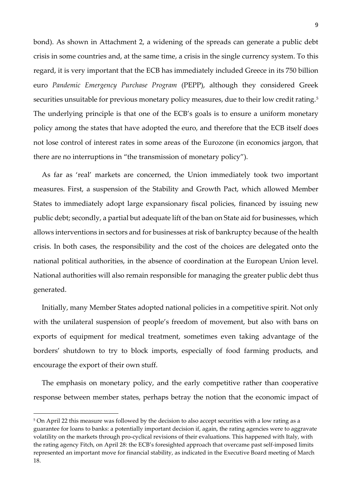bond). As shown in Attachment 2, a widening of the spreads can generate a public debt crisis in some countries and, at the same time, a crisis in the single currency system. To this regard, it is very important that the ECB has immediately included Greece in its 750 billion euro *Pandemic Emergency Purchase Program* (PEPP), although they considered Greek securities unsuitable for previous monetary policy measures, due to their low credit rating.<sup>[5](#page-8-0)</sup> The underlying principle is that one of the ECB's goals is to ensure a uniform monetary policy among the states that have adopted the euro, and therefore that the ECB itself does not lose control of interest rates in some areas of the Eurozone (in economics jargon, that there are no interruptions in "the transmission of monetary policy").

As far as 'real' markets are concerned, the Union immediately took two important measures. First, a suspension of the Stability and Growth Pact, which allowed Member States to immediately adopt large expansionary fiscal policies, financed by issuing new public debt; secondly, a partial but adequate lift of the ban on State aid for businesses, which allows interventions in sectors and for businesses at risk of bankruptcy because of the health crisis. In both cases, the responsibility and the cost of the choices are delegated onto the national political authorities, in the absence of coordination at the European Union level. National authorities will also remain responsible for managing the greater public debt thus generated.

Initially, many Member States adopted national policies in a competitive spirit. Not only with the unilateral suspension of people's freedom of movement, but also with bans on exports of equipment for medical treatment, sometimes even taking advantage of the borders' shutdown to try to block imports, especially of food farming products, and encourage the export of their own stuff.

The emphasis on monetary policy, and the early competitive rather than cooperative response between member states, perhaps betray the notion that the economic impact of

<span id="page-8-0"></span><sup>5</sup> On April 22 this measure was followed by the decision to also accept securities with a low rating as a guarantee for loans to banks: a potentially important decision if, again, the rating agencies were to aggravate volatility on the markets through pro-cyclical revisions of their evaluations. This happened with Italy, with the rating agency Fitch, on April 28: the ECB's foresighted approach that overcame past self-imposed limits represented an important move for financial stability, as indicated in the Executive Board meeting of March 18.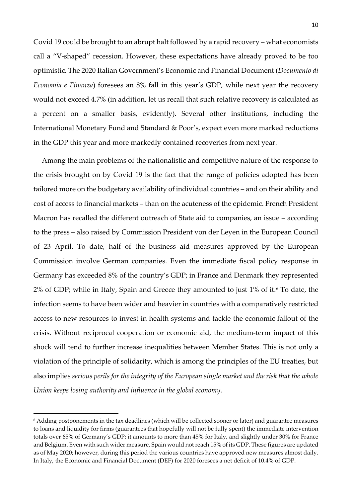Covid 19 could be brought to an abrupt halt followed by a rapid recovery – what economists call a "V-shaped" recession. However, these expectations have already proved to be too optimistic. The 2020 Italian Government's Economic and Financial Document (*Documento di Economia e Finanza*) foresees an 8% fall in this year's GDP, while next year the recovery would not exceed 4.7% (in addition, let us recall that such relative recovery is calculated as a percent on a smaller basis, evidently). Several other institutions, including the International Monetary Fund and Standard & Poor's, expect even more marked reductions in the GDP this year and more markedly contained recoveries from next year.

Among the main problems of the nationalistic and competitive nature of the response to the crisis brought on by Covid 19 is the fact that the range of policies adopted has been tailored more on the budgetary availability of individual countries – and on their ability and cost of access to financial markets – than on the acuteness of the epidemic. French President Macron has recalled the different outreach of State aid to companies, an issue – according to the press – also raised by Commission President von der Leyen in the European Council of 23 April. To date, half of the business aid measures approved by the European Commission involve German companies. Even the immediate fiscal policy response in Germany has exceeded 8% of the country's GDP; in France and Denmark they represented 2% of GDP; while in Italy, Spain and Greece they amounted to just 1% of it.<sup>[6](#page-9-0)</sup> To date, the infection seems to have been wider and heavier in countries with a comparatively restricted access to new resources to invest in health systems and tackle the economic fallout of the crisis. Without reciprocal cooperation or economic aid, the medium-term impact of this shock will tend to further increase inequalities between Member States. This is not only a violation of the principle of solidarity, which is among the principles of the EU treaties, but also implies *serious perils for the integrity of the European single market and the risk that the whole Union keeps losing authority and influence in the global economy*.

<span id="page-9-0"></span><sup>6</sup> Adding postponements in the tax deadlines (which will be collected sooner or later) and guarantee measures to loans and liquidity for firms (guarantees that hopefully will not be fully spent) the immediate intervention totals over 65% of Germany's GDP; it amounts to more than 45% for Italy, and slightly under 30% for France and Belgium. Even with such wider measure, Spain would not reach 15% of its GDP. These figures are updated as of May 2020; however, during this period the various countries have approved new measures almost daily. In Italy, the Economic and Financial Document (DEF) for 2020 foresees a net deficit of 10.4% of GDP.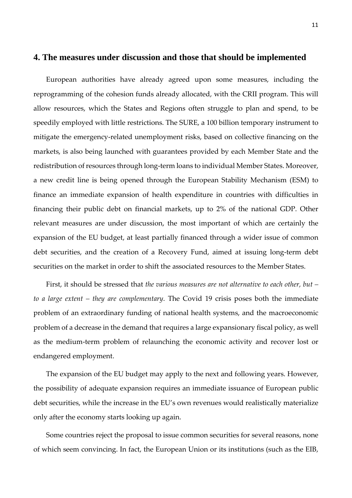<span id="page-10-0"></span>European authorities have already agreed upon some measures, including the reprogramming of the cohesion funds already allocated, with the CRII program. This will allow resources, which the States and Regions often struggle to plan and spend, to be speedily employed with little restrictions. The SURE, a 100 billion temporary instrument to mitigate the emergency-related unemployment risks, based on collective financing on the markets, is also being launched with guarantees provided by each Member State and the redistribution of resources through long-term loans to individual Member States. Moreover, a new credit line is being opened through the European Stability Mechanism (ESM) to finance an immediate expansion of health expenditure in countries with difficulties in financing their public debt on financial markets, up to 2% of the national GDP. Other relevant measures are under discussion, the most important of which are certainly the expansion of the EU budget, at least partially financed through a wider issue of common debt securities, and the creation of a Recovery Fund, aimed at issuing long-term debt securities on the market in order to shift the associated resources to the Member States.

First, it should be stressed that *the various measures are not alternative to each other, but – to a large extent – they are complementary*. The Covid 19 crisis poses both the immediate problem of an extraordinary funding of national health systems, and the macroeconomic problem of a decrease in the demand that requires a large expansionary fiscal policy, as well as the medium-term problem of relaunching the economic activity and recover lost or endangered employment.

The expansion of the EU budget may apply to the next and following years. However, the possibility of adequate expansion requires an immediate issuance of European public debt securities, while the increase in the EU's own revenues would realistically materialize only after the economy starts looking up again.

Some countries reject the proposal to issue common securities for several reasons, none of which seem convincing. In fact, the European Union or its institutions (such as the EIB,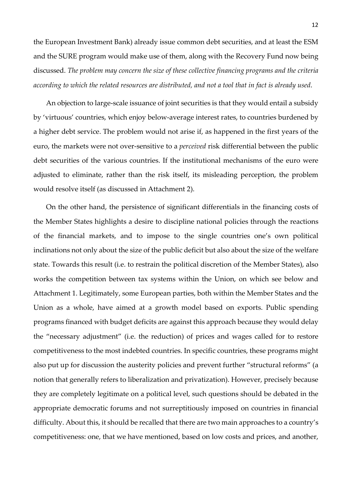the European Investment Bank) already issue common debt securities, and at least the ESM and the SURE program would make use of them, along with the Recovery Fund now being discussed. *The problem may concern the size of these collective financing programs and the criteria according to which the related resources are distributed, and not a tool that in fact is already used*.

An objection to large-scale issuance of joint securities is that they would entail a subsidy by 'virtuous' countries, which enjoy below-average interest rates, to countries burdened by a higher debt service. The problem would not arise if, as happened in the first years of the euro, the markets were not over-sensitive to a *perceived* risk differential between the public debt securities of the various countries. If the institutional mechanisms of the euro were adjusted to eliminate, rather than the risk itself, its misleading perception, the problem would resolve itself (as discussed in Attachment 2).

On the other hand, the persistence of significant differentials in the financing costs of the Member States highlights a desire to discipline national policies through the reactions of the financial markets, and to impose to the single countries one's own political inclinations not only about the size of the public deficit but also about the size of the welfare state. Towards this result (i.e. to restrain the political discretion of the Member States), also works the competition between tax systems within the Union, on which see below and Attachment 1. Legitimately, some European parties, both within the Member States and the Union as a whole, have aimed at a growth model based on exports. Public spending programs financed with budget deficits are against this approach because they would delay the "necessary adjustment" (i.e. the reduction) of prices and wages called for to restore competitiveness to the most indebted countries. In specific countries, these programs might also put up for discussion the austerity policies and prevent further "structural reforms" (a notion that generally refers to liberalization and privatization). However, precisely because they are completely legitimate on a political level, such questions should be debated in the appropriate democratic forums and not surreptitiously imposed on countries in financial difficulty. About this, it should be recalled that there are two main approaches to a country's competitiveness: one, that we have mentioned, based on low costs and prices, and another,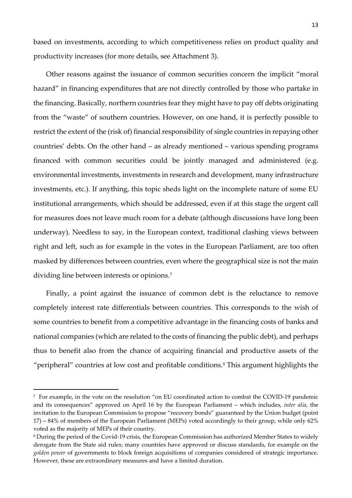based on investments, according to which competitiveness relies on product quality and productivity increases (for more details, see Attachment 3).

Other reasons against the issuance of common securities concern the implicit "moral hazard" in financing expenditures that are not directly controlled by those who partake in the financing. Basically, northern countries fear they might have to pay off debts originating from the "waste" of southern countries. However, on one hand, it is perfectly possible to restrict the extent of the (risk of) financial responsibility of single countries in repaying other countries' debts. On the other hand – as already mentioned – various spending programs financed with common securities could be jointly managed and administered (e.g. environmental investments, investments in research and development, many infrastructure investments, etc.). If anything, this topic sheds light on the incomplete nature of some EU institutional arrangements, which should be addressed, even if at this stage the urgent call for measures does not leave much room for a debate (although discussions have long been underway). Needless to say, in the European context, traditional clashing views between right and left, such as for example in the votes in the European Parliament, are too often masked by differences between countries, even where the geographical size is not the main dividing line between interests or opinions. [7](#page-12-0)

Finally, a point against the issuance of common debt is the reluctance to remove completely interest rate differentials between countries. This corresponds to the wish of some countries to benefit from a competitive advantage in the financing costs of banks and national companies (which are related to the costs of financing the public debt), and perhaps thus to benefit also from the chance of acquiring financial and productive assets of the "peripheral" countries at low cost and profitable conditions.<sup>[8](#page-12-1)</sup> This argument highlights the

<span id="page-12-0"></span><sup>7</sup> For example, in the vote on the resolution "on EU coordinated action to combat the COVID-19 pandemic and its consequences" approved on April 16 by the European Parliament – which includes, *inter alia*, the invitation to the European Commission to propose "recovery bonds" guaranteed by the Union budget (point 17) – 84% of members of the European Parliament (MEPs) voted accordingly to their group, while only 62% voted as the majority of MEPs of their country.

<span id="page-12-1"></span><sup>8</sup> During the period of the Covid-19 crisis, the European Commission has authorized Member States to widely derogate from the State aid rules; many countries have approved or discuss standards, for example on the *golden power* of governments to block foreign acquisitions of companies considered of strategic importance. However, these are extraordinary measures and have a limited duration.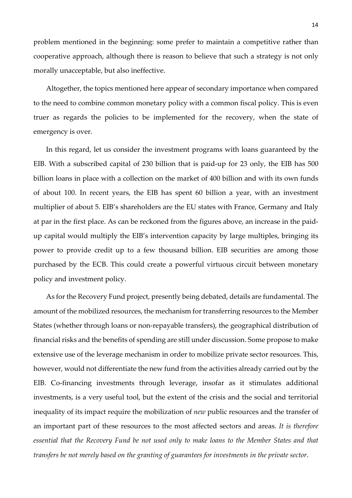problem mentioned in the beginning: some prefer to maintain a competitive rather than cooperative approach, although there is reason to believe that such a strategy is not only morally unacceptable, but also ineffective.

Altogether, the topics mentioned here appear of secondary importance when compared to the need to combine common monetary policy with a common fiscal policy. This is even truer as regards the policies to be implemented for the recovery, when the state of emergency is over.

In this regard, let us consider the investment programs with loans guaranteed by the EIB. With a subscribed capital of 230 billion that is paid-up for 23 only, the EIB has 500 billion loans in place with a collection on the market of 400 billion and with its own funds of about 100. In recent years, the EIB has spent 60 billion a year, with an investment multiplier of about 5. EIB's shareholders are the EU states with France, Germany and Italy at par in the first place. As can be reckoned from the figures above, an increase in the paidup capital would multiply the EIB's intervention capacity by large multiples, bringing its power to provide credit up to a few thousand billion. EIB securities are among those purchased by the ECB. This could create a powerful virtuous circuit between monetary policy and investment policy.

As for the Recovery Fund project, presently being debated, details are fundamental. The amount of the mobilized resources, the mechanism for transferring resources to the Member States (whether through loans or non-repayable transfers), the geographical distribution of financial risks and the benefits of spending are still under discussion. Some propose to make extensive use of the leverage mechanism in order to mobilize private sector resources. This, however, would not differentiate the new fund from the activities already carried out by the EIB. Co-financing investments through leverage, insofar as it stimulates additional investments, is a very useful tool, but the extent of the crisis and the social and territorial inequality of its impact require the mobilization of *new* public resources and the transfer of an important part of these resources to the most affected sectors and areas. *It is therefore essential that the Recovery Fund be not used only to make loans to the Member States and that transfers be not merely based on the granting of guarantees for investments in the private sector*.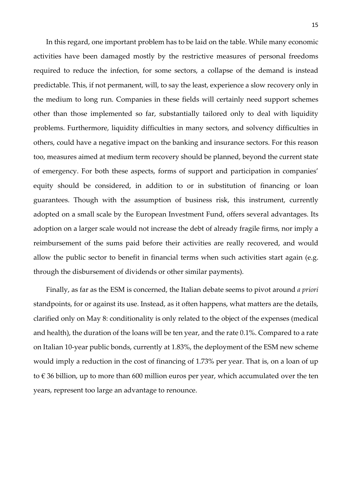In this regard, one important problem has to be laid on the table. While many economic activities have been damaged mostly by the restrictive measures of personal freedoms required to reduce the infection, for some sectors, a collapse of the demand is instead predictable. This, if not permanent, will, to say the least, experience a slow recovery only in the medium to long run. Companies in these fields will certainly need support schemes other than those implemented so far, substantially tailored only to deal with liquidity problems. Furthermore, liquidity difficulties in many sectors, and solvency difficulties in others, could have a negative impact on the banking and insurance sectors. For this reason too, measures aimed at medium term recovery should be planned, beyond the current state of emergency. For both these aspects, forms of support and participation in companies' equity should be considered, in addition to or in substitution of financing or loan guarantees. Though with the assumption of business risk, this instrument, currently adopted on a small scale by the European Investment Fund, offers several advantages. Its adoption on a larger scale would not increase the debt of already fragile firms, nor imply a reimbursement of the sums paid before their activities are really recovered, and would allow the public sector to benefit in financial terms when such activities start again (e.g. through the disbursement of dividends or other similar payments).

Finally, as far as the ESM is concerned, the Italian debate seems to pivot around *a priori* standpoints, for or against its use. Instead, as it often happens, what matters are the details, clarified only on May 8: conditionality is only related to the object of the expenses (medical and health), the duration of the loans will be ten year, and the rate 0.1%. Compared to a rate on Italian 10-year public bonds, currently at 1.83%, the deployment of the ESM new scheme would imply a reduction in the cost of financing of 1.73% per year. That is, on a loan of up to € 36 billion, up to more than 600 million euros per year, which accumulated over the ten years, represent too large an advantage to renounce.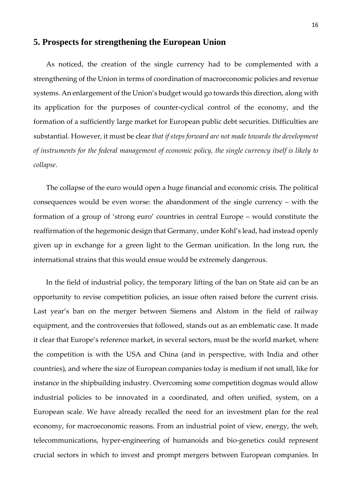### <span id="page-15-0"></span>**5. Prospects for strengthening the European Union**

As noticed, the creation of the single currency had to be complemented with a strengthening of the Union in terms of coordination of macroeconomic policies and revenue systems. An enlargement of the Union's budget would go towards this direction, along with its application for the purposes of counter-cyclical control of the economy, and the formation of a sufficiently large market for European public debt securities. Difficulties are substantial. However, it must be clear *that if steps forward are not made towards the development of instruments for the federal management of economic policy, the single currency itself is likely to collapse*.

The collapse of the euro would open a huge financial and economic crisis. The political consequences would be even worse: the abandonment of the single currency – with the formation of a group of 'strong euro' countries in central Europe – would constitute the reaffirmation of the hegemonic design that Germany, under Kohl's lead, had instead openly given up in exchange for a green light to the German unification. In the long run, the international strains that this would ensue would be extremely dangerous.

In the field of industrial policy, the temporary lifting of the ban on State aid can be an opportunity to revise competition policies, an issue often raised before the current crisis. Last year's ban on the merger between Siemens and Alstom in the field of railway equipment, and the controversies that followed, stands out as an emblematic case. It made it clear that Europe's reference market, in several sectors, must be the world market, where the competition is with the USA and China (and in perspective, with India and other countries), and where the size of European companies today is medium if not small, like for instance in the shipbuilding industry. Overcoming some competition dogmas would allow industrial policies to be innovated in a coordinated, and often unified, system, on a European scale. We have already recalled the need for an investment plan for the real economy, for macroeconomic reasons. From an industrial point of view, energy, the web, telecommunications, hyper-engineering of humanoids and bio-genetics could represent crucial sectors in which to invest and prompt mergers between European companies. In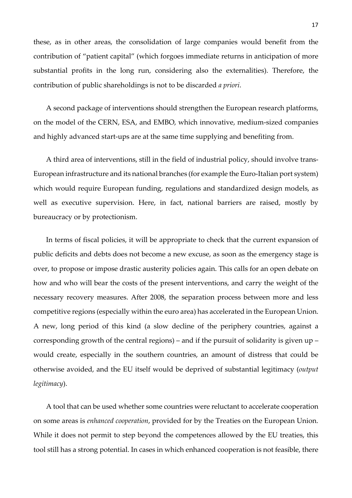these, as in other areas, the consolidation of large companies would benefit from the contribution of "patient capital" (which forgoes immediate returns in anticipation of more substantial profits in the long run, considering also the externalities). Therefore, the contribution of public shareholdings is not to be discarded *a priori*.

A second package of interventions should strengthen the European research platforms, on the model of the CERN, ESA, and EMBO, which innovative, medium-sized companies and highly advanced start-ups are at the same time supplying and benefiting from.

A third area of interventions, still in the field of industrial policy, should involve trans-European infrastructure and its national branches (for example the Euro-Italian port system) which would require European funding, regulations and standardized design models, as well as executive supervision. Here, in fact, national barriers are raised, mostly by bureaucracy or by protectionism.

In terms of fiscal policies, it will be appropriate to check that the current expansion of public deficits and debts does not become a new excuse, as soon as the emergency stage is over, to propose or impose drastic austerity policies again. This calls for an open debate on how and who will bear the costs of the present interventions, and carry the weight of the necessary recovery measures. After 2008, the separation process between more and less competitive regions (especially within the euro area) has accelerated in the European Union. A new, long period of this kind (a slow decline of the periphery countries, against a corresponding growth of the central regions) – and if the pursuit of solidarity is given up – would create, especially in the southern countries, an amount of distress that could be otherwise avoided, and the EU itself would be deprived of substantial legitimacy (*output legitimacy*).

A tool that can be used whether some countries were reluctant to accelerate cooperation on some areas is *enhanced cooperation*, provided for by the Treaties on the European Union. While it does not permit to step beyond the competences allowed by the EU treaties, this tool still has a strong potential. In cases in which enhanced cooperation is not feasible, there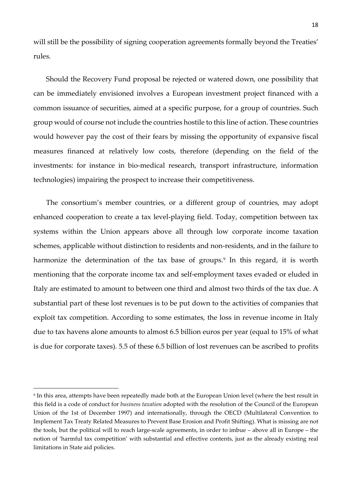will still be the possibility of signing cooperation agreements formally beyond the Treaties' rules.

Should the Recovery Fund proposal be rejected or watered down, one possibility that can be immediately envisioned involves a European investment project financed with a common issuance of securities, aimed at a specific purpose, for a group of countries. Such group would of course not include the countries hostile to this line of action. These countries would however pay the cost of their fears by missing the opportunity of expansive fiscal measures financed at relatively low costs, therefore (depending on the field of the investments: for instance in bio-medical research, transport infrastructure, information technologies) impairing the prospect to increase their competitiveness.

The consortium's member countries, or a different group of countries, may adopt enhanced cooperation to create a tax level-playing field. Today, competition between tax systems within the Union appears above all through low corporate income taxation schemes, applicable without distinction to residents and non-residents, and in the failure to harmonize the determination of the tax base of groups.<sup>[9](#page-17-0)</sup> In this regard, it is worth mentioning that the corporate income tax and self-employment taxes evaded or eluded in Italy are estimated to amount to between one third and almost two thirds of the tax due. A substantial part of these lost revenues is to be put down to the activities of companies that exploit tax competition. According to some estimates, the loss in revenue income in Italy due to tax havens alone amounts to almost 6.5 billion euros per year (equal to 15% of what is due for corporate taxes). 5.5 of these 6.5 billion of lost revenues can be ascribed to profits

<span id="page-17-0"></span><sup>9</sup> In this area, attempts have been repeatedly made both at the European Union level (where the best result in this field is a code of conduct for *business taxation* adopted with the resolution of the Council of the European Union of the 1st of December 1997) and internationally, through the OECD (Multilateral Convention to Implement Tax Treaty Related Measures to Prevent Base Erosion and Profit Shifting). What is missing are not the tools, but the political will to reach large-scale agreements, in order to imbue – above all in Europe – the notion of 'harmful tax competition' with substantial and effective contents, just as the already existing real limitations in State aid policies.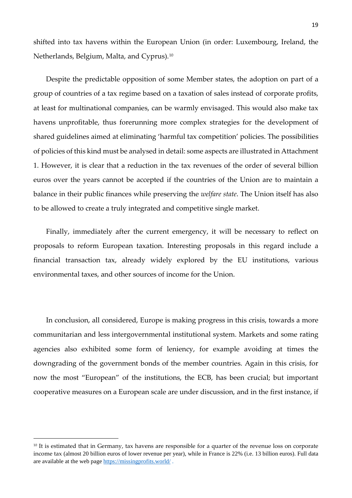shifted into tax havens within the European Union (in order: Luxembourg, Ireland, the Netherlands, Belgium, Malta, and Cyprus).<sup>[10](#page-18-0)</sup>

Despite the predictable opposition of some Member states, the adoption on part of a group of countries of a tax regime based on a taxation of sales instead of corporate profits, at least for multinational companies, can be warmly envisaged. This would also make tax havens unprofitable, thus forerunning more complex strategies for the development of shared guidelines aimed at eliminating 'harmful tax competition' policies. The possibilities of policies of this kind must be analysed in detail: some aspects are illustrated in Attachment 1. However, it is clear that a reduction in the tax revenues of the order of several billion euros over the years cannot be accepted if the countries of the Union are to maintain a balance in their public finances while preserving the *welfare state*. The Union itself has also to be allowed to create a truly integrated and competitive single market.

Finally, immediately after the current emergency, it will be necessary to reflect on proposals to reform European taxation. Interesting proposals in this regard include a financial transaction tax, already widely explored by the EU institutions, various environmental taxes, and other sources of income for the Union.

In conclusion, all considered, Europe is making progress in this crisis, towards a more communitarian and less intergovernmental institutional system. Markets and some rating agencies also exhibited some form of leniency, for example avoiding at times the downgrading of the government bonds of the member countries. Again in this crisis, for now the most "European" of the institutions, the ECB, has been crucial; but important cooperative measures on a European scale are under discussion, and in the first instance, if

<span id="page-18-0"></span><sup>&</sup>lt;sup>10</sup> It is estimated that in Germany, tax havens are responsible for a quarter of the revenue loss on corporate income tax (almost 20 billion euros of lower revenue per year), while in France is 22% (i.e. 13 billion euros). Full data are available at the web page<https://missingprofits.world/> .